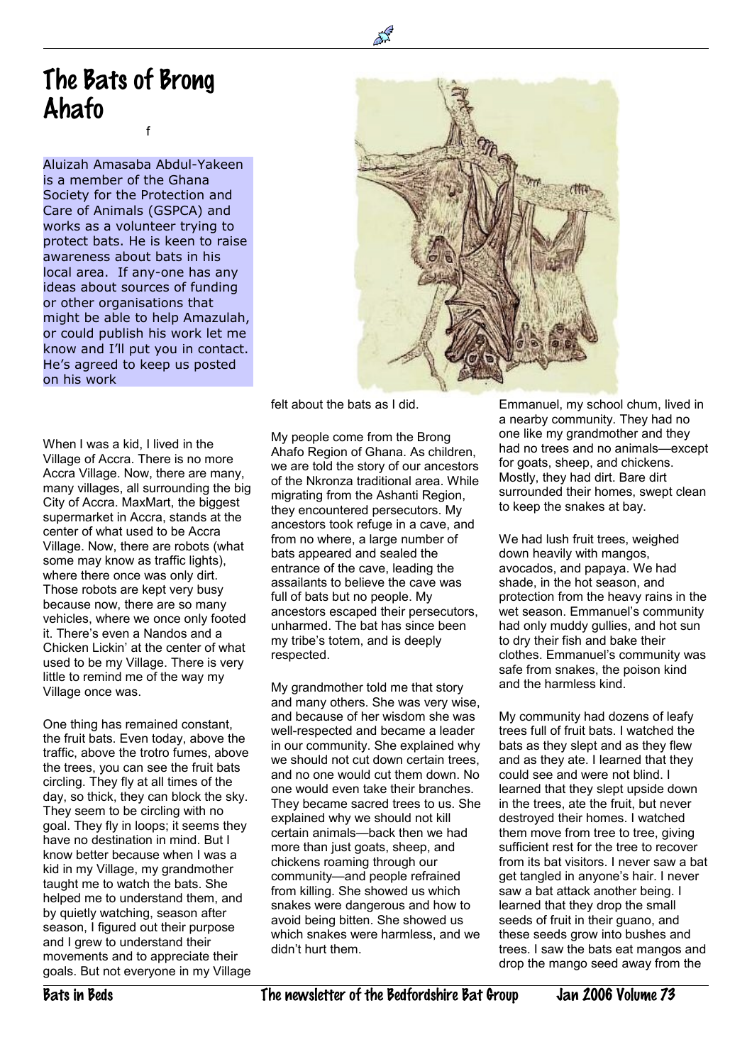## The Bats of Brong Ahafo f

Aluizah Amasaba Abdul-Yakeen is a member of the Ghana Society for the Protection and Care of Animals (GSPCA) and works as a volunteer trying to protect bats. He is keen to raise awareness about bats in his local area. If any-one has any ideas about sources of funding or other organisations that might be able to help Amazulah, or could publish his work let me know and I'll put you in contact. He's agreed to keep us posted on his work

When I was a kid. I lived in the Village of Accra. There is no more Accra Village. Now, there are many, many villages, all surrounding the big City of Accra. MaxMart, the biggest supermarket in Accra, stands at the center of what used to be Accra Village. Now, there are robots (what some may know as traffic lights), where there once was only dirt. Those robots are kept very busy because now, there are so many vehicles, where we once only footed it. There's even a Nandos and a Chicken Lickin' at the center of what used to be my Village. There is very little to remind me of the way my Village once was.

One thing has remained constant, the fruit bats. Even today, above the traffic, above the trotro fumes, above the trees, you can see the fruit bats circling. They fly at all times of the day, so thick, they can block the sky. They seem to be circling with no goal. They fly in loops; it seems they have no destination in mind. But I know better because when I was a kid in my Village, my grandmother taught me to watch the bats. She helped me to understand them, and by quietly watching, season after season, I figured out their purpose and I grew to understand their movements and to appreciate their goals. But not everyone in my Village



felt about the bats as I did.

 $\ddot{\phantom{a}}$ 

My people come from the Brong Ahafo Region of Ghana. As children, we are told the story of our ancestors of the Nkronza traditional area. While migrating from the Ashanti Region, they encountered persecutors. My ancestors took refuge in a cave, and from no where, a large number of bats appeared and sealed the entrance of the cave, leading the assailants to believe the cave was full of bats but no people. My ancestors escaped their persecutors, unharmed. The bat has since been my tribe's totem, and is deeply respected.

My grandmother told me that story and many others. She was very wise, and because of her wisdom she was well-respected and became a leader in our community. She explained why we should not cut down certain trees. and no one would cut them down. No one would even take their branches. They became sacred trees to us. She explained why we should not kill certain animals—back then we had more than just goats, sheep, and chickens roaming through our community—and people refrained from killing. She showed us which snakes were dangerous and how to avoid being bitten. She showed us which snakes were harmless, and we didn't hurt them.

Emmanuel, my school chum, lived in a nearby community. They had no one like my grandmother and they had no trees and no animals—except for goats, sheep, and chickens. Mostly, they had dirt. Bare dirt surrounded their homes, swept clean to keep the snakes at bay.

We had lush fruit trees, weighed down heavily with mangos, avocados, and papaya. We had shade, in the hot season, and protection from the heavy rains in the wet season. Emmanuel's community had only muddy gullies, and hot sun to dry their fish and bake their clothes. Emmanuel's community was safe from snakes, the poison kind and the harmless kind.

My community had dozens of leafy trees full of fruit bats. I watched the bats as they slept and as they flew and as they ate. I learned that they could see and were not blind. I learned that they slept upside down in the trees, ate the fruit, but never destroyed their homes. I watched them move from tree to tree, giving sufficient rest for the tree to recover from its bat visitors. I never saw a bat get tangled in anyone's hair. I never saw a bat attack another being. I learned that they drop the small seeds of fruit in their guano, and these seeds grow into bushes and trees. I saw the bats eat mangos and drop the mango seed away from the